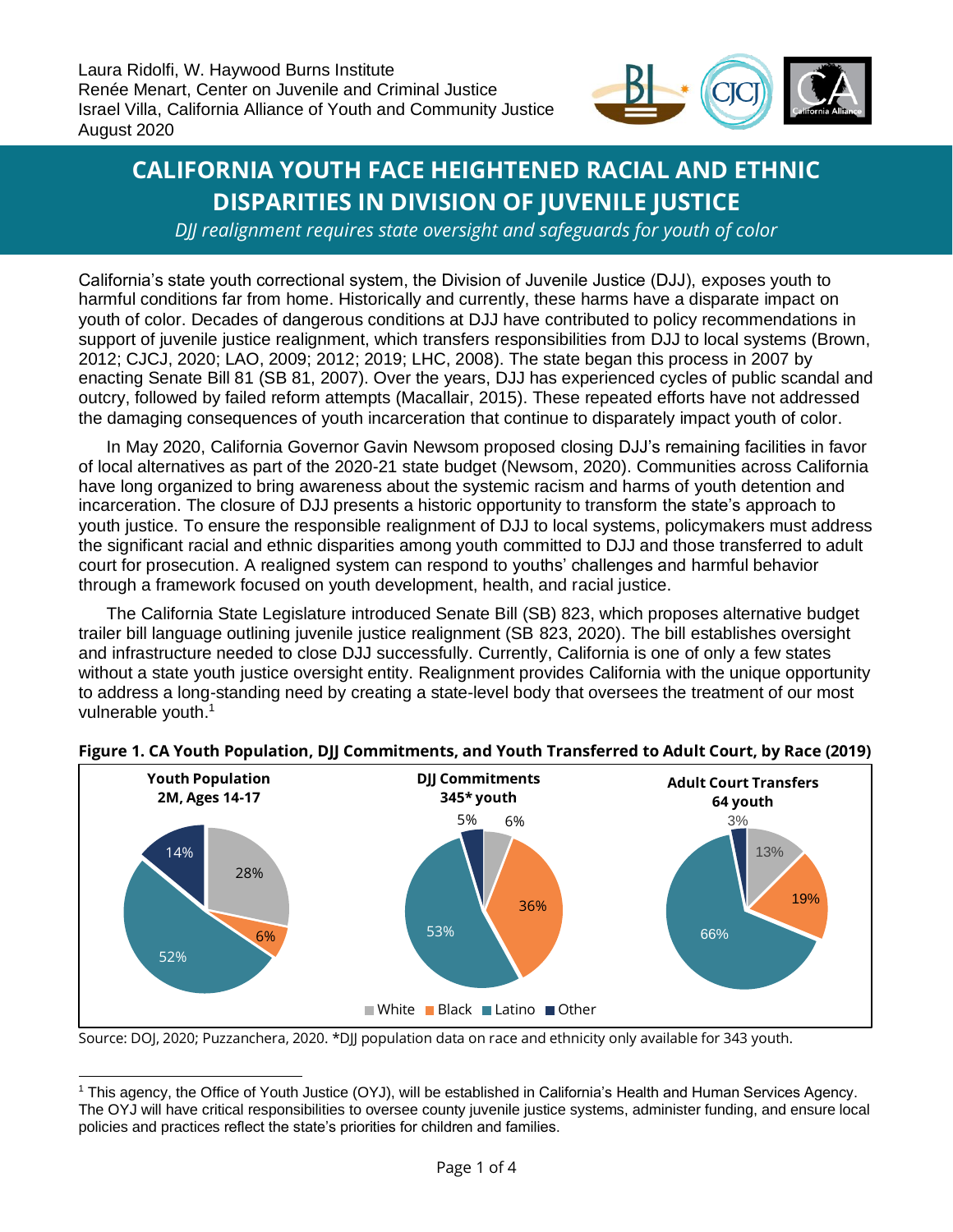

# **CALIFORNIA YOUTH FACE HEIGHTENED RACIAL AND ETHNIC DISPARITIES IN DIVISION OF JUVENILE JUSTICE**

*DJJ realignment requires state oversight and safeguards for youth of color*

California's state youth correctional system, the Division of Juvenile Justice (DJJ), exposes youth to harmful conditions far from home. Historically and currently, these harms have a disparate impact on youth of color. Decades of dangerous conditions at DJJ have contributed to policy recommendations in support of juvenile justice realignment, which transfers responsibilities from DJJ to local systems (Brown, 2012; CJCJ, 2020; LAO, 2009; 2012; 2019; LHC, 2008). The state began this process in 2007 by enacting Senate Bill 81 (SB 81, 2007). Over the years, DJJ has experienced cycles of public scandal and outcry, followed by failed reform attempts (Macallair, 2015). These repeated efforts have not addressed the damaging consequences of youth incarceration that continue to disparately impact youth of color.

In May 2020, California Governor Gavin Newsom proposed closing DJJ's remaining facilities in favor of local alternatives as part of the 2020-21 state budget (Newsom, 2020). Communities across California have long organized to bring awareness about the systemic racism and harms of youth detention and incarceration. The closure of DJJ presents a historic opportunity to transform the state's approach to youth justice. To ensure the responsible realignment of DJJ to local systems, policymakers must address the significant racial and ethnic disparities among youth committed to DJJ and those transferred to adult court for prosecution. A realigned system can respond to youths' challenges and harmful behavior through a framework focused on youth development, health, and racial justice.

The California State Legislature introduced Senate Bill (SB) 823, which proposes alternative budget trailer bill language outlining juvenile justice realignment (SB 823, 2020). The bill establishes oversight and infrastructure needed to close DJJ successfully. Currently, California is one of only a few states without a state youth justice oversight entity. Realignment provides California with the unique opportunity to address a long-standing need by creating a state-level body that oversees the treatment of our most vulnerable youth.<sup>1</sup>



## **Figure 1. CA Youth Population, DJJ Commitments, and Youth Transferred to Adult Court, by Race (2019)**

Source: DOJ, 2020; Puzzanchera, 2020. \*DJJ population data on race and ethnicity only available for 343 youth.

<sup>1</sup> This agency, the Office of Youth Justice (OYJ), will be established in California's Health and Human Services Agency. The OYJ will have critical responsibilities to oversee county juvenile justice systems, administer funding, and ensure local policies and practices reflect the state's priorities for children and families.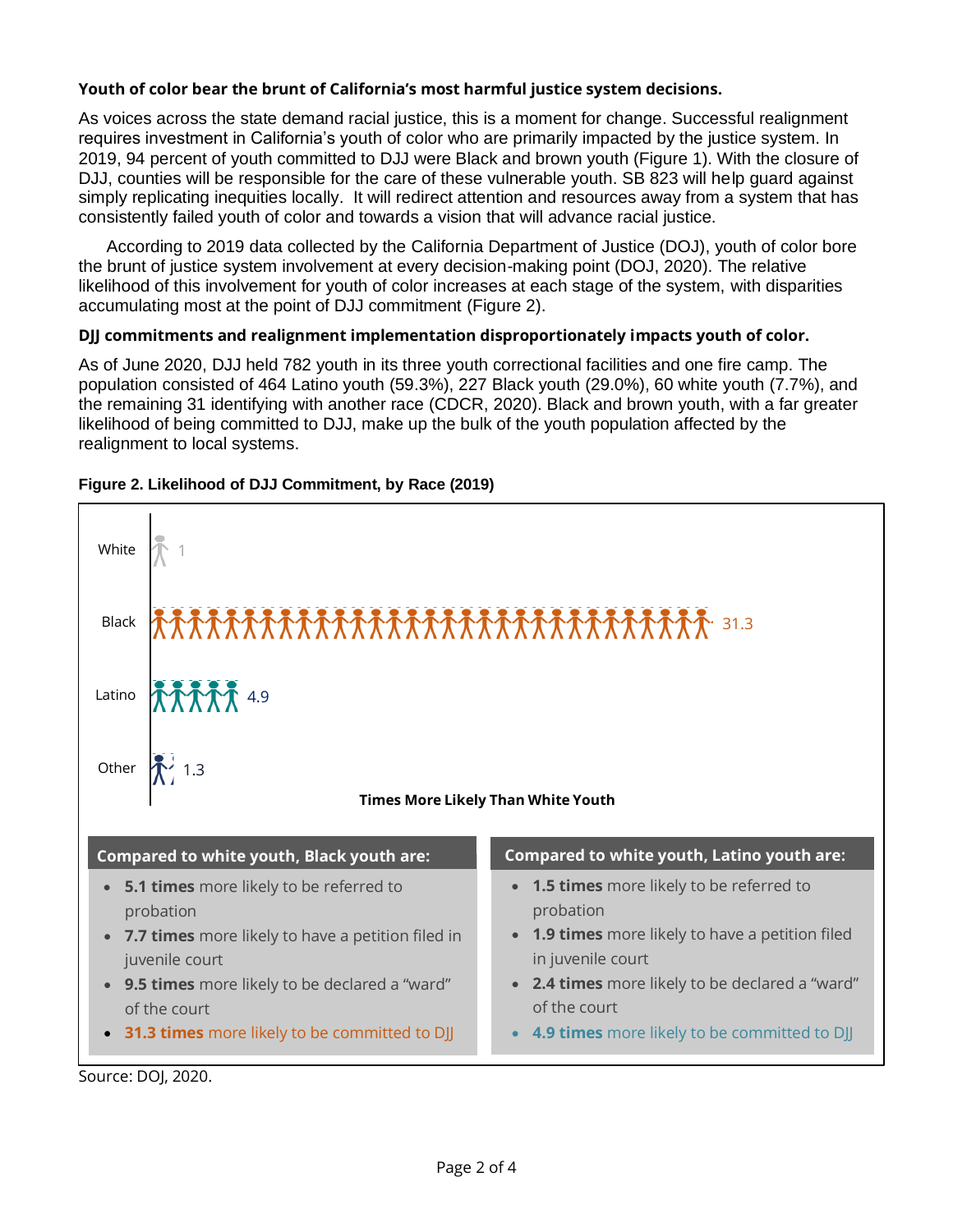### **Youth of color bear the brunt of California's most harmful justice system decisions.**

As voices across the state demand racial justice, this is a moment for change. Successful realignment requires investment in California's youth of color who are primarily impacted by the justice system. In 2019, 94 percent of youth committed to DJJ were Black and brown youth (Figure 1). With the closure of DJJ, counties will be responsible for the care of these vulnerable youth. SB 823 will help guard against simply replicating inequities locally. It will redirect attention and resources away from a system that has consistently failed youth of color and towards a vision that will advance racial justice.

According to 2019 data collected by the California Department of Justice (DOJ), youth of color bore the brunt of justice system involvement at every decision-making point (DOJ, 2020). The relative likelihood of this involvement for youth of color increases at each stage of the system, with disparities accumulating most at the point of DJJ commitment (Figure 2).

#### **DJJ commitments and realignment implementation disproportionately impacts youth of color.**

As of June 2020, DJJ held 782 youth in its three youth correctional facilities and one fire camp. The population consisted of 464 Latino youth (59.3%), 227 Black youth (29.0%), 60 white youth (7.7%), and the remaining 31 identifying with another race (CDCR, 2020). Black and brown youth, with a far greater likelihood of being committed to DJJ, make up the bulk of the youth population affected by the realignment to local systems.



#### **Figure 2. Likelihood of DJJ Commitment, by Race (2019)**

Source: DOJ, 2020.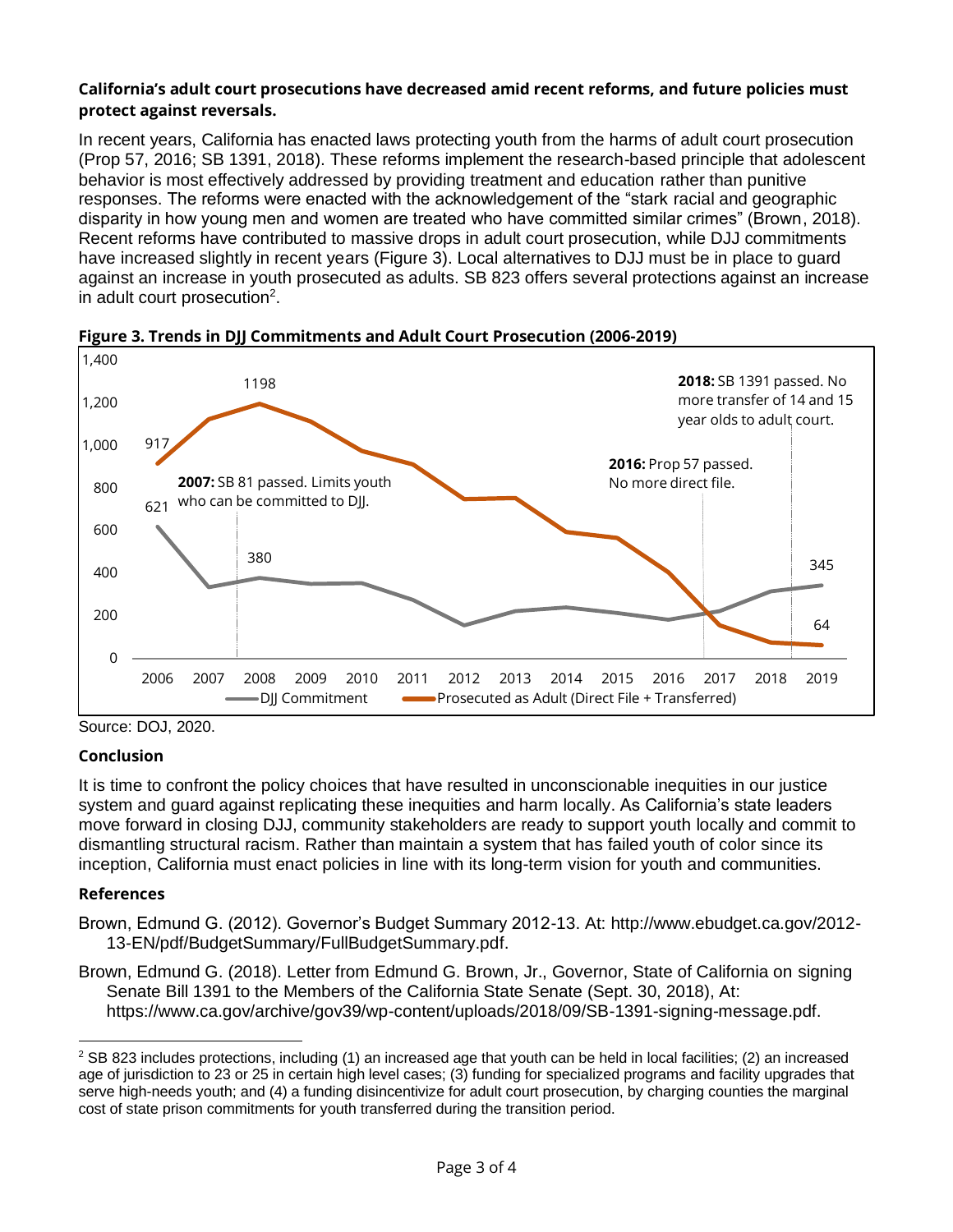#### **California's adult court prosecutions have decreased amid recent reforms, and future policies must protect against reversals.**

In recent years, California has enacted laws protecting youth from the harms of adult court prosecution (Prop 57, 2016; SB 1391, 2018). These reforms implement the research-based principle that adolescent behavior is most effectively addressed by providing treatment and education rather than punitive responses. The reforms were enacted with the acknowledgement of the "stark racial and geographic disparity in how young men and women are treated who have committed similar crimes" (Brown, 2018). Recent reforms have contributed to massive drops in adult court prosecution, while DJJ commitments have increased slightly in recent years (Figure 3). Local alternatives to DJJ must be in place to guard against an increase in youth prosecuted as adults. SB 823 offers several protections against an increase in adult court prosecution $2$ .





## **Conclusion**

It is time to confront the policy choices that have resulted in unconscionable inequities in our justice system and guard against replicating these inequities and harm locally. As California's state leaders move forward in closing DJJ, community stakeholders are ready to support youth locally and commit to dismantling structural racism. Rather than maintain a system that has failed youth of color since its inception, California must enact policies in line with its long-term vision for youth and communities.

## **References**

- Brown, Edmund G. (2012). Governor's Budget Summary 2012-13. At: http://www.ebudget.ca.gov/2012- 13-EN/pdf/BudgetSummary/FullBudgetSummary.pdf.
- Brown, Edmund G. (2018). Letter from Edmund G. Brown, Jr., Governor, State of California on signing Senate Bill 1391 to the Members of the California State Senate (Sept. 30, 2018), At: https://www.ca.gov/archive/gov39/wp-content/uploads/2018/09/SB-1391-signing-message.pdf.

Source: DOJ, 2020.

 $2$  SB 823 includes protections, including (1) an increased age that youth can be held in local facilities; (2) an increased age of jurisdiction to 23 or 25 in certain high level cases; (3) funding for specialized programs and facility upgrades that serve high-needs youth; and (4) a funding disincentivize for adult court prosecution, by charging counties the marginal cost of state prison commitments for youth transferred during the transition period.